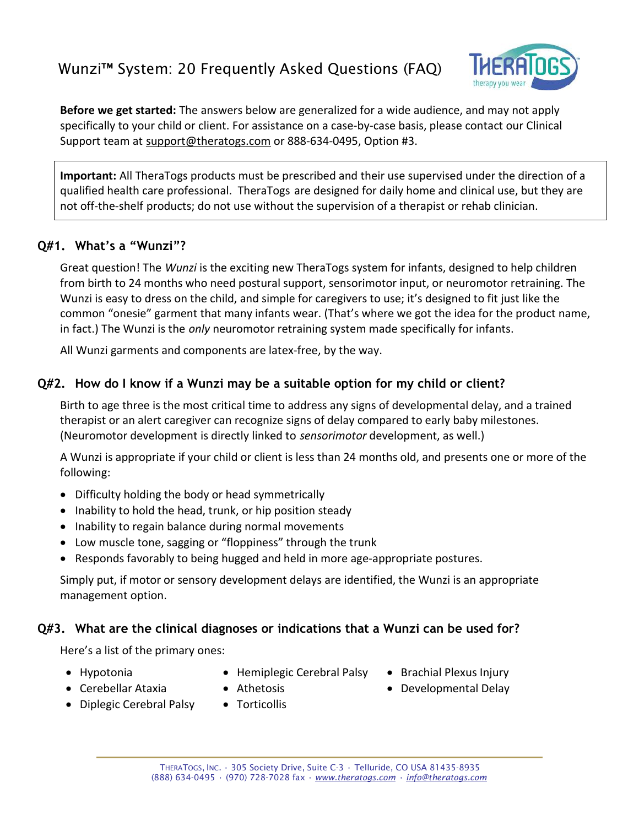

**Before we get started:** The answers below are generalized for a wide audience, and may not apply specifically to your child or client. For assistance on a case-by-case basis, please contact our Clinical Support team at [support@theratogs.com](mailto:support@theratogs.com) or 888-634-0495, Option #3.

**Important:** All TheraTogs products must be prescribed and their use supervised under the direction of a qualified health care professional. TheraTogs are designed for daily home and clinical use, but they are not off-the-shelf products; do not use without the supervision of a therapist or rehab clinician.

# **Q#1. What's a "Wunzi"?**

Great question! The *Wunzi* is the exciting new TheraTogs system for infants, designed to help children from birth to 24 months who need postural support, sensorimotor input, or neuromotor retraining. The Wunzi is easy to dress on the child, and simple for caregivers to use; it's designed to fit just like the common "onesie" garment that many infants wear. (That's where we got the idea for the product name, in fact.) The Wunzi is the *only* neuromotor retraining system made specifically for infants.

All Wunzi garments and components are latex-free, by the way.

# **Q#2. How do I know if a Wunzi may be a suitable option for my child or client?**

Birth to age three is the most critical time to address any signs of developmental delay, and a trained therapist or an alert caregiver can recognize signs of delay compared to early baby milestones. (Neuromotor development is directly linked to *sensorimotor* development, as well.)

A Wunzi is appropriate if your child or client is less than 24 months old, and presents one or more of the following:

- · Difficulty holding the body or head symmetrically
- · Inability to hold the head, trunk, or hip position steady
- · Inability to regain balance during normal movements
- Low muscle tone, sagging or "floppiness" through the trunk
- · Responds favorably to being hugged and held in more age-appropriate postures.

Simply put, if motor or sensory development delays are identified, the Wunzi is an appropriate management option.

## **Q#3. What are the clinical diagnoses or indications that a Wunzi can be used for?**

Here's a list of the primary ones:

- · Hypotonia
- · Hemiplegic Cerebral Palsy
- · Brachial Plexus Injury

- · Cerebellar Ataxia
- · Diplegic Cerebral Palsy
- · Athetosis
- · Torticollis

· Developmental Delay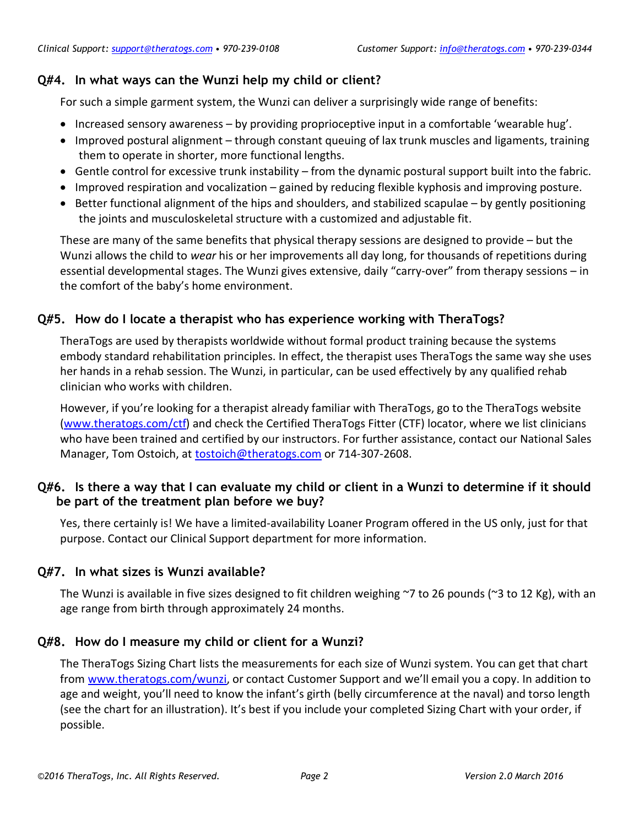# **Q#4. In what ways can the Wunzi help my child or client?**

For such a simple garment system, the Wunzi can deliver a surprisingly wide range of benefits:

- · Increased sensory awareness by providing proprioceptive input in a comfortable 'wearable hug'.
- · Improved postural alignment through constant queuing of lax trunk muscles and ligaments, training them to operate in shorter, more functional lengths.
- · Gentle control for excessive trunk instability from the dynamic postural support built into the fabric.
- · Improved respiration and vocalization gained by reducing flexible kyphosis and improving posture.
- · Better functional alignment of the hips and shoulders, and stabilized scapulae by gently positioning the joints and musculoskeletal structure with a customized and adjustable fit.

These are many of the same benefits that physical therapy sessions are designed to provide – but the Wunzi allows the child to *wear* his or her improvements all day long, for thousands of repetitions during essential developmental stages. The Wunzi gives extensive, daily "carry-over" from therapy sessions – in the comfort of the baby's home environment.

# **Q#5. How do I locate a therapist who has experience working with TheraTogs?**

TheraTogs are used by therapists worldwide without formal product training because the systems embody standard rehabilitation principles. In effect, the therapist uses TheraTogs the same way she uses her hands in a rehab session. The Wunzi, in particular, can be used effectively by any qualified rehab clinician who works with children.

However, if you're looking for a therapist already familiar with TheraTogs, go to the TheraTogs website [\(www.theratogs.com/ctf\)](http://www.theratogs.com/ctf) and check the Certified TheraTogs Fitter (CTF) locator, where we list clinicians who have been trained and certified by our instructors. For further assistance, contact our National Sales Manager, Tom Ostoich, at **[tostoich@theratogs.com](mailto:tostoich@theratogs.com)** or 714-307-2608.

# **Q#6. Is there a way that I can evaluate my child or client in a Wunzi to determine if it should be part of the treatment plan before we buy?**

Yes, there certainly is! We have a limited-availability Loaner Program offered in the US only, just for that purpose. Contact our Clinical Support department for more information.

## **Q#7. In what sizes is Wunzi available?**

The Wunzi is available in five sizes designed to fit children weighing ~7 to 26 pounds (~3 to 12 Kg), with an age range from birth through approximately 24 months.

## **Q#8. How do I measure my child or client for a Wunzi?**

The TheraTogs Sizing Chart lists the measurements for each size of Wunzi system. You can get that chart from [www.theratogs.com/wunzi](http://www.theratogs.com/wunzi), or contact Customer Support and we'll email you a copy. In addition to age and weight, you'll need to know the infant's girth (belly circumference at the naval) and torso length (see the chart for an illustration). It's best if you include your completed Sizing Chart with your order, if possible.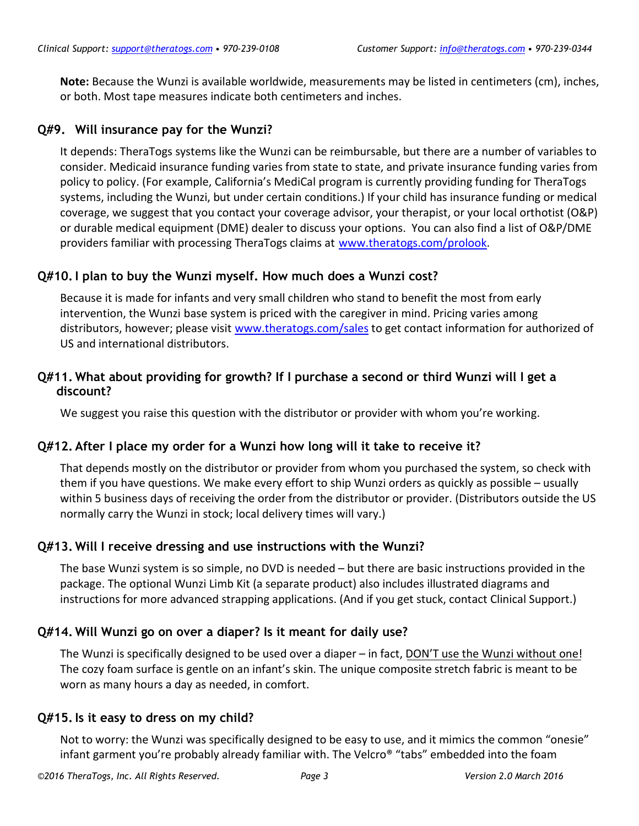**Note:** Because the Wunzi is available worldwide, measurements may be listed in centimeters (cm), inches, or both. Most tape measures indicate both centimeters and inches.

#### **Q#9. Will insurance pay for the Wunzi?**

It depends: TheraTogs systems like the Wunzi can be reimbursable, but there are a number of variables to consider. Medicaid insurance funding varies from state to state, and private insurance funding varies from policy to policy. (For example, California's MediCal program is currently providing funding for TheraTogs systems, including the Wunzi, but under certain conditions.) If your child has insurance funding or medical coverage, we suggest that you contact your coverage advisor, your therapist, or your local orthotist (O&P) or durable medical equipment (DME) dealer to discuss your options. You can also find a list of O&P/DME providers familiar with processing TheraTogs claims at [www.theratogs.com/prolook.](http://www.theratogs.com/prolook)

## **Q#10.I plan to buy the Wunzi myself. How much does a Wunzi cost?**

Because it is made for infants and very small children who stand to benefit the most from early intervention, the Wunzi base system is priced with the caregiver in mind. Pricing varies among distributors, however; please visit [www.theratogs.com/sales](http://www.theratogs.com/sales) to get contact information for authorized of US and international distributors.

## **Q#11. What about providing for growth? If I purchase a second or third Wunzi will I get a discount?**

We suggest you raise this question with the distributor or provider with whom you're working.

## **Q#12. After I place my order for a Wunzi how long will it take to receive it?**

That depends mostly on the distributor or provider from whom you purchased the system, so check with them if you have questions. We make every effort to ship Wunzi orders as quickly as possible – usually within 5 business days of receiving the order from the distributor or provider. (Distributors outside the US normally carry the Wunzi in stock; local delivery times will vary.)

## **Q#13. Will I receive dressing and use instructions with the Wunzi?**

The base Wunzi system is so simple, no DVD is needed – but there are basic instructions provided in the package. The optional Wunzi Limb Kit (a separate product) also includes illustrated diagrams and instructions for more advanced strapping applications. (And if you get stuck, contact Clinical Support.)

## **Q#14. Will Wunzi go on over a diaper? Is it meant for daily use?**

The Wunzi is specifically designed to be used over a diaper – in fact, DON'T use the Wunzi without one! The cozy foam surface is gentle on an infant's skin. The unique composite stretch fabric is meant to be worn as many hours a day as needed, in comfort.

## **Q#15.Is it easy to dress on my child?**

Not to worry: the Wunzi was specifically designed to be easy to use, and it mimics the common "onesie" infant garment you're probably already familiar with. The Velcro® "tabs" embedded into the foam